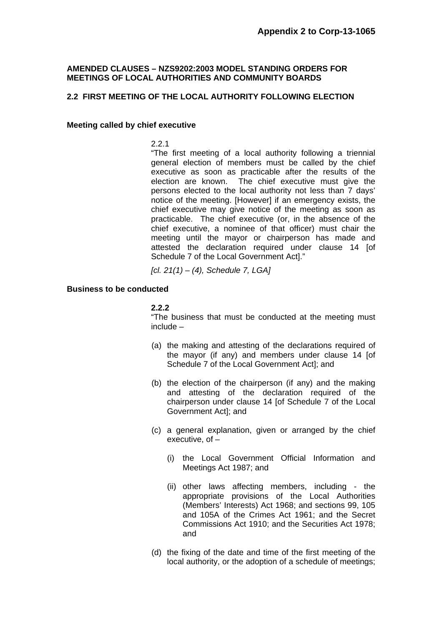## **AMENDED CLAUSES – NZS9202:2003 MODEL STANDING ORDERS FOR MEETINGS OF LOCAL AUTHORITIES AND COMMUNITY BOARDS**

# **2.2 FIRST MEETING OF THE LOCAL AUTHORITY FOLLOWING ELECTION**

#### **Meeting called by chief executive**

2.2.1

 "The first meeting of a local authority following a triennial general election of members must be called by the chief executive as soon as practicable after the results of the election are known. The chief executive must give the persons elected to the local authority not less than 7 days' notice of the meeting. [However] if an emergency exists, the chief executive may give notice of the meeting as soon as practicable. The chief executive (or, in the absence of the chief executive, a nominee of that officer) must chair the meeting until the mayor or chairperson has made and attested the declaration required under clause 14 [of Schedule 7 of the Local Government Act]."

*[cl. 21(1) – (4), Schedule 7, LGA]* 

### **Business to be conducted**

### **2.2.2**

"The business that must be conducted at the meeting must include –

- (a) the making and attesting of the declarations required of the mayor (if any) and members under clause 14 [of Schedule 7 of the Local Government Act]; and
- (b) the election of the chairperson (if any) and the making and attesting of the declaration required of the chairperson under clause 14 [of Schedule 7 of the Local Government Act]; and
- (c) a general explanation, given or arranged by the chief executive, of –
	- (i) the Local Government Official Information and Meetings Act 1987; and
	- (ii) other laws affecting members, including the appropriate provisions of the Local Authorities (Members' Interests) Act 1968; and sections 99, 105 and 105A of the Crimes Act 1961; and the Secret Commissions Act 1910; and the Securities Act 1978; and
- (d) the fixing of the date and time of the first meeting of the local authority, or the adoption of a schedule of meetings;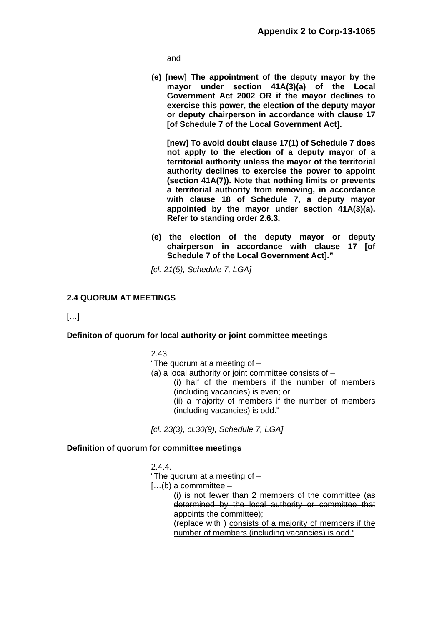and

 **(e) [new] The appointment of the deputy mayor by the mayor under section 41A(3)(a) of the Local Government Act 2002 OR if the mayor declines to exercise this power, the election of the deputy mayor or deputy chairperson in accordance with clause 17 [of Schedule 7 of the Local Government Act].** 

 **[new] To avoid doubt clause 17(1) of Schedule 7 does not apply to the election of a deputy mayor of a territorial authority unless the mayor of the territorial authority declines to exercise the power to appoint (section 41A(7)). Note that nothing limits or prevents a territorial authority from removing, in accordance with clause 18 of Schedule 7, a deputy mayor appointed by the mayor under section 41A(3)(a). Refer to standing order 2.6.3.** 

 **(e) the election of the deputy mayor or deputy chairperson in accordance with clause 17 [of Schedule 7 of the Local Government Act]."**

*[cl. 21(5), Schedule 7, LGA]* 

# **2.4 QUORUM AT MEETINGS**

[…]

# **Definiton of quorum for local authority or joint committee meetings**

2.43.

- "The quorum at a meeting of –
- (a) a local authority or joint committee consists of
	- (i) half of the members if the number of members (including vacancies) is even; or
	- (ii) a majority of members if the number of members (including vacancies) is odd."

*[cl. 23(3), cl.30(9), Schedule 7, LGA]* 

#### **Definition of quorum for committee meetings**

2.4.4.

"The quorum at a meeting of –

 $[...]$ (b) a commmittee –

 (i) is not fewer than 2 members of the committee (as determined by the local authority or committee that appoints the committee);

 (replace with ) consists of a majority of members if the number of members (including vacancies) is odd."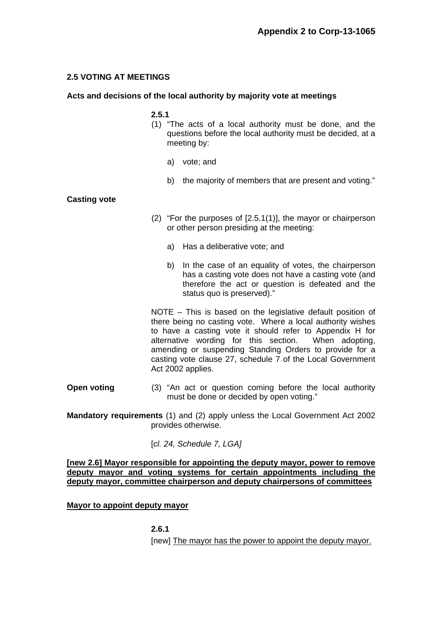# **2.5 VOTING AT MEETINGS**

## **Acts and decisions of the local authority by majority vote at meetings**

### **2.5.1**

- (1) "The acts of a local authority must be done, and the questions before the local authority must be decided, at a meeting by:
	- a) vote; and
	- b) the majority of members that are present and voting."

### **Casting vote**

- (2) "For the purposes of [2.5.1(1)], the mayor or chairperson or other person presiding at the meeting:
	- a) Has a deliberative vote; and
	- b) In the case of an equality of votes, the chairperson has a casting vote does not have a casting vote (and therefore the act or question is defeated and the status quo is preserved)."

 NOTE – This is based on the legislative default position of there being no casting vote. Where a local authority wishes to have a casting vote it should refer to Appendix H for alternative wording for this section. When adopting, amending or suspending Standing Orders to provide for a casting vote clause 27, schedule 7 of the Local Government Act 2002 applies.

**Open voting** (3) "An act or question coming before the local authority must be done or decided by open voting."

**Mandatory requirements** (1) and (2) apply unless the Local Government Act 2002 provides otherwise.

[*cl. 24, Schedule 7, LGA]*

### **[new 2.6] Mayor responsible for appointing the deputy mayor, power to remove deputy mayor and voting systems for certain appointments including the deputy mayor, committee chairperson and deputy chairpersons of committees**

**Mayor to appoint deputy mayor** 

**2.6.1** 

[new] The mayor has the power to appoint the deputy mayor.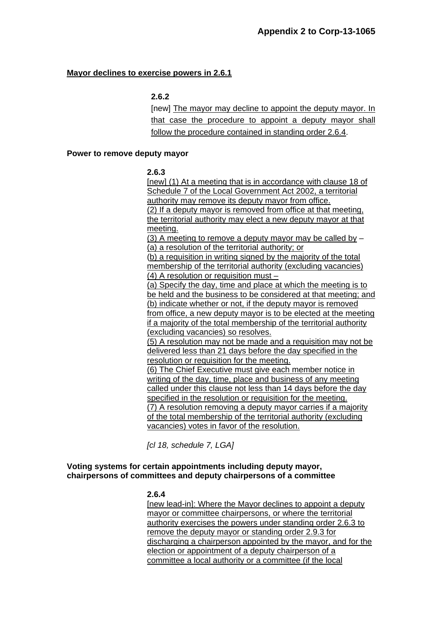# **Mayor declines to exercise powers in 2.6.1**

## **2.6.2**

[new] The mayor may decline to appoint the deputy mayor. In that case the procedure to appoint a deputy mayor shall follow the procedure contained in standing order 2.6.4.

#### **Power to remove deputy mayor**

### **2.6.3**

[new] (1) At a meeting that is in accordance with clause 18 of Schedule 7 of the Local Government Act 2002, a territorial authority may remove its deputy mayor from office. (2) If a deputy mayor is removed from office at that meeting, the territorial authority may elect a new deputy mayor at that meeting.

(3) A meeting to remove a deputy mayor may be called by – (a) a resolution of the territorial authority; or

(b) a requisition in writing signed by the majority of the total membership of the territorial authority (excluding vacancies) (4) A resolution or requisition must –

(a) Specify the day, time and place at which the meeting is to be held and the business to be considered at that meeting; and (b) indicate whether or not, if the deputy mayor is removed from office, a new deputy mayor is to be elected at the meeting if a majority of the total membership of the territorial authority (excluding vacancies) so resolves.

(5) A resolution may not be made and a requisition may not be delivered less than 21 days before the day specified in the resolution or requisition for the meeting.

(6) The Chief Executive must give each member notice in writing of the day, time, place and business of any meeting called under this clause not less than 14 days before the day specified in the resolution or requisition for the meeting. (7) A resolution removing a deputy mayor carries if a majority of the total membership of the territorial authority (excluding vacancies) votes in favor of the resolution.

*[cl 18, schedule 7, LGA]* 

# **Voting systems for certain appointments including deputy mayor, chairpersons of committees and deputy chairpersons of a committee**

# **2.6.4**

[new lead-in]: Where the Mayor declines to appoint a deputy mayor or committee chairpersons, or where the territorial authority exercises the powers under standing order 2.6.3 to remove the deputy mayor or standing order 2.9.3 for discharging a chairperson appointed by the mayor, and for the election or appointment of a deputy chairperson of a committee a local authority or a committee (if the local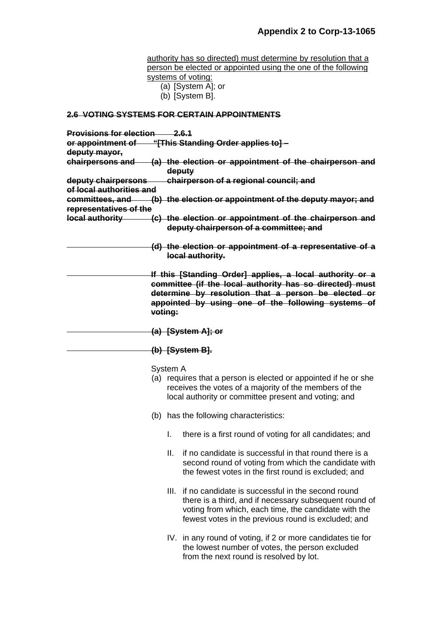authority has so directed) must determine by resolution that a person be elected or appointed using the one of the following systems of voting: (a) [System A]; or (b) [System B]. **2.6 VOTING SYSTEMS FOR CERTAIN APPOINTMENTS Provisions for election 2.6.1 or appointment of "[This Standing Order applies to] – deputy mayor, chairpersons and (a) the election or appointment of the chairperson and deputy deputy chairpersons chairperson of a regional council; and of local authorities and committees, and (b) the election or appointment of the deputy mayor; and representatives of the local authority (c) the election or appointment of the chairperson and deputy chairperson of a committee; and (d) the election or appointment of a representative of a local authority. If this [Standing Order] applies, a local authority or a committee (if the local authority has so directed) must determine by resolution that a person be elected or appointed by using one of the following systems of voting: (a) [System A]; or (b) [System B].** System A (a) requires that a person is elected or appointed if he or she receives the votes of a majority of the members of the local authority or committee present and voting; and (b) has the following characteristics: I. there is a first round of voting for all candidates; and II. if no candidate is successful in that round there is a second round of voting from which the candidate with the fewest votes in the first round is excluded; and III. if no candidate is successful in the second round there is a third, and if necessary subsequent round of voting from which, each time, the candidate with the fewest votes in the previous round is excluded; and IV. in any round of voting, if 2 or more candidates tie for the lowest number of votes, the person excluded from the next round is resolved by lot.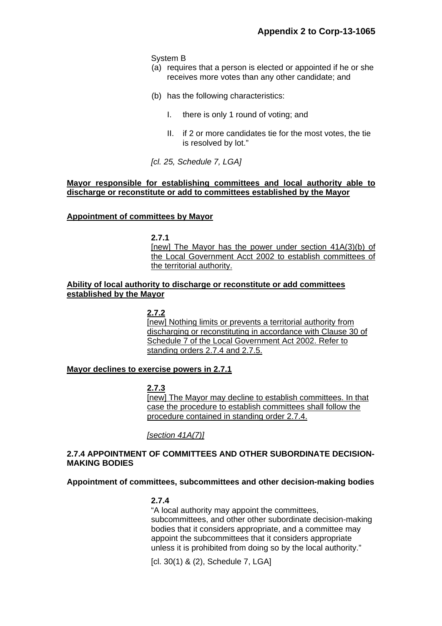System B

- (a) requires that a person is elected or appointed if he or she receives more votes than any other candidate; and
- (b) has the following characteristics:
	- I. there is only 1 round of voting; and
	- II. if 2 or more candidates tie for the most votes, the tie is resolved by lot."

*[cl. 25, Schedule 7, LGA]* 

### **Mayor responsible for establishing committees and local authority able to discharge or reconstitute or add to committees established by the Mayor**

### **Appointment of committees by Mayor**

**2.7.1** 

[new] The Mayor has the power under section 41A(3)(b) of the Local Government Acct 2002 to establish committees of the territorial authority.

## **Ability of local authority to discharge or reconstitute or add committees established by the Mayor**

**2.7.2**  [new] Nothing limits or prevents a territorial authority from discharging or reconstituting in accordance with Clause 30 of Schedule 7 of the Local Government Act 2002. Refer to standing orders 2.7.4 and 2.7.5.

# **Mayor declines to exercise powers in 2.7.1**

**2.7.3** 

[new] The Mayor may decline to establish committees. In that case the procedure to establish committees shall follow the procedure contained in standing order 2.7.4.

*[section 41A(7)]*

# **2.7.4 APPOINTMENT OF COMMITTEES AND OTHER SUBORDINATE DECISION-MAKING BODIES**

#### **Appointment of committees, subcommittees and other decision-making bodies**

#### **2.7.4**

 "A local authority may appoint the committees, subcommittees, and other other subordinate decision-making bodies that it considers appropriate, and a committee may appoint the subcommittees that it considers appropriate unless it is prohibited from doing so by the local authority."

[cl. 30(1) & (2), Schedule 7, LGA]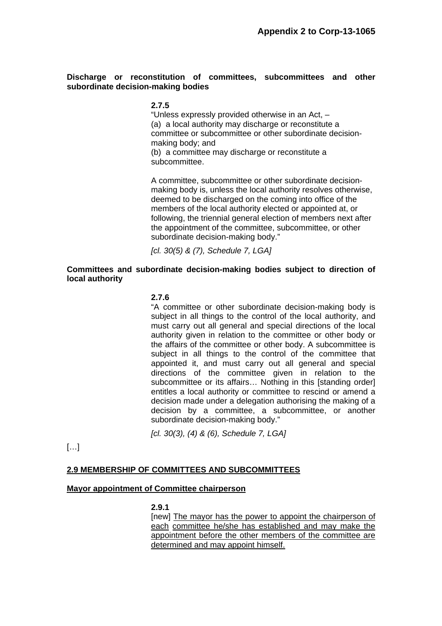## **Discharge or reconstitution of committees, subcommittees and other subordinate decision-making bodies**

### **2.7.5**

 "Unless expressly provided otherwise in an Act, – (a) a local authority may discharge or reconstitute a committee or subcommittee or other subordinate decisionmaking body; and (b) a committee may discharge or reconstitute a

subcommittee.

 A committee, subcommittee or other subordinate decisionmaking body is, unless the local authority resolves otherwise, deemed to be discharged on the coming into office of the members of the local authority elected or appointed at, or following, the triennial general election of members next after the appointment of the committee, subcommittee, or other subordinate decision-making body."

*[cl. 30(5) & (7), Schedule 7, LGA]* 

## **Committees and subordinate decision-making bodies subject to direction of local authority**

### **2.7.6**

 "A committee or other subordinate decision-making body is subject in all things to the control of the local authority, and must carry out all general and special directions of the local authority given in relation to the committee or other body or the affairs of the committee or other body. A subcommittee is subject in all things to the control of the committee that appointed it, and must carry out all general and special directions of the committee given in relation to the subcommittee or its affairs... Nothing in this [standing order] entitles a local authority or committee to rescind or amend a decision made under a delegation authorising the making of a decision by a committee, a subcommittee, or another subordinate decision-making body."

*[cl. 30(3), (4) & (6), Schedule 7, LGA]* 

[…]

#### **2.9 MEMBERSHIP OF COMMITTEES AND SUBCOMMITTEES**

#### **Mayor appointment of Committee chairperson**

#### **2.9.1**

 [new] The mayor has the power to appoint the chairperson of each committee he/she has established and may make the appointment before the other members of the committee are determined and may appoint himself.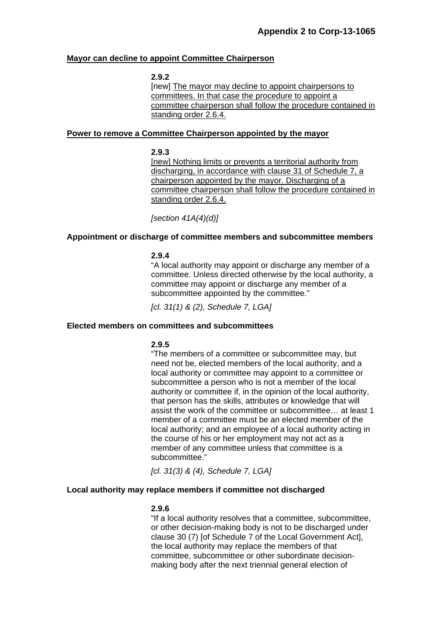### **Mayor can decline to appoint Committee Chairperson**

#### **2.9.2**

 [new] The mayor may decline to appoint chairpersons to committees. In that case the procedure to appoint a committee chairperson shall follow the procedure contained in standing order 2.6.4.

#### **Power to remove a Committee Chairperson appointed by the mayor**

#### **2.9.3**

[new] Nothing limits or prevents a territorial authority from discharging, in accordance with clause 31 of Schedule 7, a chairperson appointed by the mayor. Discharging of a committee chairperson shall follow the procedure contained in standing order 2.6.4.

*[section 41A(4)(d)]* 

### **Appointment or discharge of committee members and subcommittee members**

#### **2.9.4**

"A local authority may appoint or discharge any member of a committee. Unless directed otherwise by the local authority, a committee may appoint or discharge any member of a subcommittee appointed by the committee."

*[cl. 31(1) & (2), Schedule 7, LGA]* 

#### **Elected members on committees and subcommittees**

# **2.9.5**

"The members of a committee or subcommittee may, but need not be, elected members of the local authority, and a local authority or committee may appoint to a committee or subcommittee a person who is not a member of the local authority or committee if, in the opinion of the local authority, that person has the skills, attributes or knowledge that will assist the work of the committee or subcommittee… at least 1 member of a committee must be an elected member of the local authority; and an employee of a local authority acting in the course of his or her employment may not act as a member of any committee unless that committee is a subcommittee."

*[cl. 31(3) & (4), Schedule 7, LGA]* 

#### **Local authority may replace members if committee not discharged**

#### **2.9.6**

"If a local authority resolves that a committee, subcommittee, or other decision-making body is not to be discharged under clause 30 (7) [of Schedule 7 of the Local Government Act], the local authority may replace the members of that committee, subcommittee or other subordinate decisionmaking body after the next triennial general election of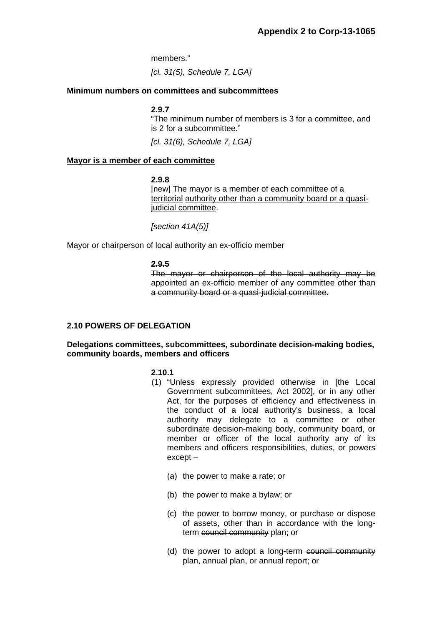members."

*[cl. 31(5), Schedule 7, LGA]* 

## **Minimum numbers on committees and subcommittees**

### **2.9.7**

"The minimum number of members is 3 for a committee, and is 2 for a subcommittee."

*[cl. 31(6), Schedule 7, LGA]* 

### **Mayor is a member of each committee**

#### **2.9.8**

[new] The mayor is a member of each committee of a territorial authority other than a community board or a quasijudicial committee.

 *[section 41A(5)]* 

Mayor or chairperson of local authority an ex-officio member

#### **2.9.5**

The mayor or chairperson of the local authority may be appointed an ex-officio member of any committee other than a community board or a quasi-judicial committee.

# **2.10 POWERS OF DELEGATION**

### **Delegations committees, subcommittees, subordinate decision-making bodies, community boards, members and officers**

# **2.10.1**

- (1) "Unless expressly provided otherwise in [the Local Government subcommittees, Act 2002], or in any other Act, for the purposes of efficiency and effectiveness in the conduct of a local authority's business, a local authority may delegate to a committee or other subordinate decision-making body, community board, or member or officer of the local authority any of its members and officers responsibilities, duties, or powers except –
	- (a) the power to make a rate; or
	- (b) the power to make a bylaw; or
	- (c) the power to borrow money, or purchase or dispose of assets, other than in accordance with the longterm council community plan; or
	- (d) the power to adopt a long-term council community plan, annual plan, or annual report; or